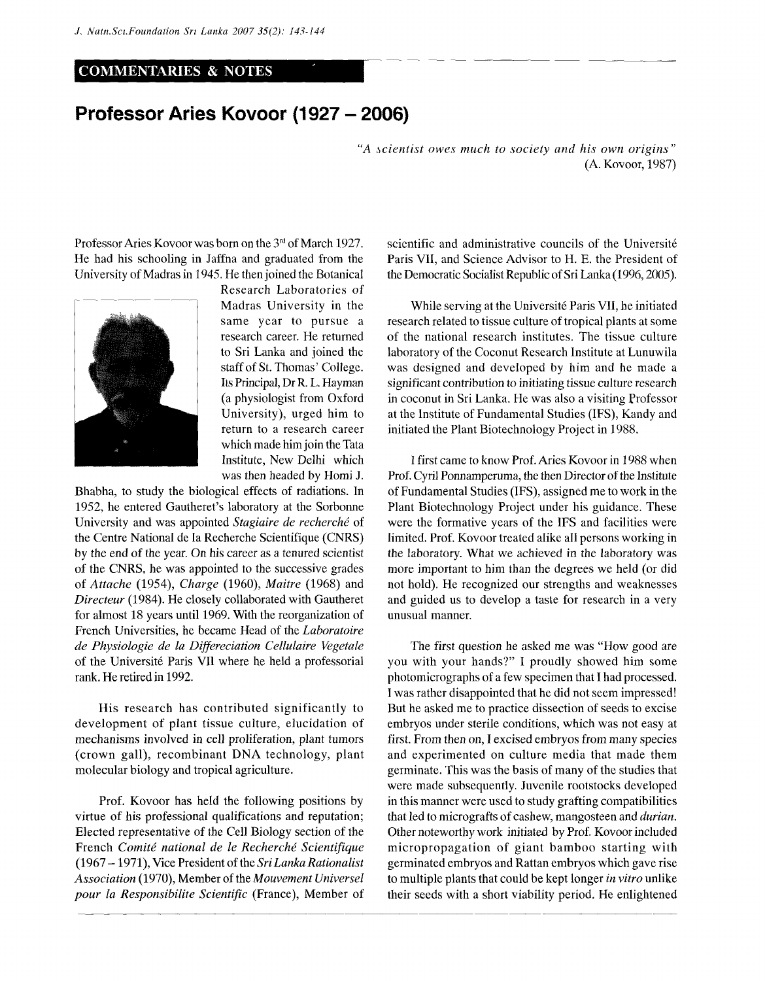## COMMENTARIES & NOTES

## **Professor Aries Kovoor (1927 - 2006)**

*"A scientist owes much to society and his own origins'"*  (A. Kovoor, 1987)

Professor Aries Kovoor was born on the  $3<sup>rd</sup>$  of March 1927. He had his schooling in Jaffna and graduated from the University of Madras in 1945. He then joined the Botanical



Research Laboratories of Madras University in the same year to pursue a research career. He returned to Sri Lanka and joined the staff of St. Thomas' College. Its Principal, Dr R. L. Hayman (a physiologist from Oxford University), urged him to return to a research career which made him join the Tata Institute, New Delhi which was then headed by Homi J.

Bhabha, to study the biological effects of radiations. In 1952, he entered Gautheret's laboratory at the Sorbonne University and was appointed *Stagiaire de recherche* of the Centre National de la Recherche Scientifique (CNRS) by the end of the year. On his career as a tenured scientist of the CNRS, he was appointed to the successive grades of *Attache* (1954), *Charge* (1960), *Maitre* (1968) and *Directeur* (1984). He closely collaborated with Gautheret for almost 18 years until 1969. With the reorganization of French Universities, he became Head of the *Laboratoire de Physiologie de la Differeciation Cellulaire Vegetate*  of the Universite Paris VII where he held a professorial rank. He retired in 1992.

His research has contributed significantly to development of plant tissue culture, elucidation of mechanisms involved in cell proliferation, plant tumors (crown gall), recombinant DNA technology, plant molecular biology and tropical agriculture.

Prof. Kovoor has held the following positions by virtue of his professional qualifications and reputation; Elected representative of the Cell Biology section of the French *Comite national de le Recherche Scientifique*  (1967 -1971), Vice President of the *Sri Lanka Rationalist Association* (1970), Member of the *Mouvement Universel pour la Responsibilite Scientific* (France), Member of scientific and administrative councils of the Université Paris VII, and Science Advisor to H. E. the President of the Democratic Socialist Republic of Sri Lanka (1996,2005).

While serving at the Universite Paris VII, he initiated research related to tissue culture of tropical plants at some of the national research institutes. The tissue culture laboratory of the Coconut Research Institute at Lunuwila was designed and developed by him and he made a significant contribution to initiating tissue culture research in coconut in Sri Lanka. He was also a visiting Professor at the Institute of Fundamental Studies (IFS), Kandy and initiated the Plant Biotechnology Project in 1988.

I first came to know Prof. Aries Kovoor in 1988 when Prof. Cyril Ponnamperuma, the then Director of the Institute of Fundamental Studies (IFS), assigned me to work in the Plant Biotechnology Project under his guidance. These were the formative years of the IFS and facilities were limited. Prof. Kovoor treated alike all persons working in the laboratory. What we achieved in the laboratory was more important to him than the degrees we held (or did not hold). He recognized our strengths and weaknesses and guided us to develop a taste for research in a very unusual manner.

The first question he asked me was "How good are you with your hands?" I proudly showed him some photomicrographs of a few specimen that I had processed. I was rather disappointed that he did not seem impressed! But he asked me to practice dissection of seeds to excise embryos under sterile conditions, which was not easy at first. From then on, I excised embryos from many species and experimented on culture media that made them germinate. This was the basis of many of the studies that were made subsequently. Juvenile rootstocks developed in this manner were used to study grafting compatibilities that led to micrografts of cashew, mangosteen and *durian.*  Other noteworthy work initiated by Prof. Kovoor included micropropagation of giant bamboo starting with germinated embryos and Rattan embryos which gave rise to multiple plants that could be kept longer *in vitro* unlike their seeds with a short viability period. He enlightened